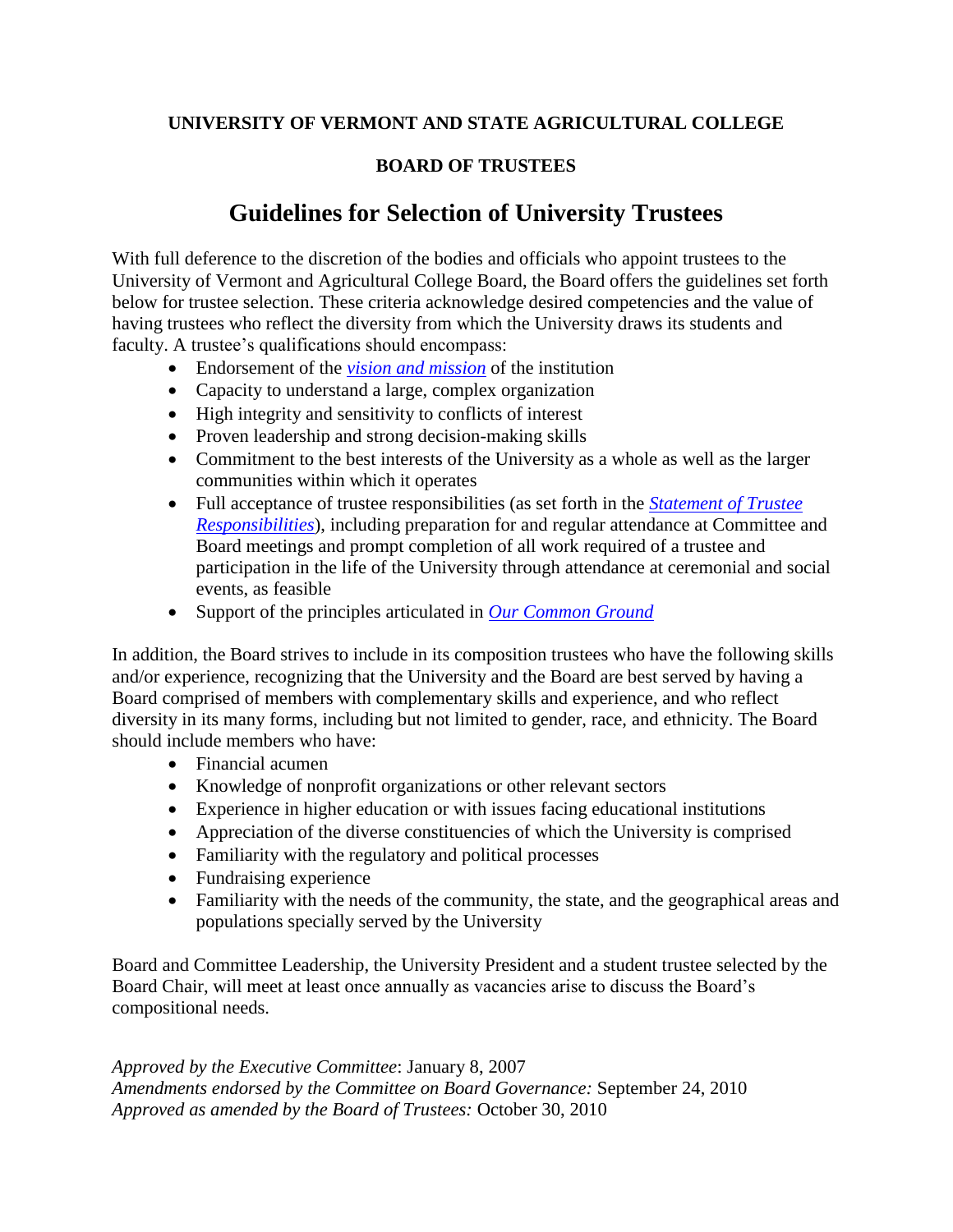## **UNIVERSITY OF VERMONT AND STATE AGRICULTURAL COLLEGE**

## **BOARD OF TRUSTEES**

## **Guidelines for Selection of University Trustees**

With full deference to the discretion of the bodies and officials who appoint trustees to the University of Vermont and Agricultural College Board, the Board offers the guidelines set forth below for trustee selection. These criteria acknowledge desired competencies and the value of having trustees who reflect the diversity from which the University draws its students and faculty. A trustee's qualifications should encompass:

- Endorsement of the *[vision and mission](https://www.uvm.edu/mission-and-vision)* of the institution
- Capacity to understand a large, complex organization
- High integrity and sensitivity to conflicts of interest
- Proven leadership and strong decision-making skills
- Commitment to the best interests of the University as a whole as well as the larger communities within which it operates
- Full acceptance of trustee responsibilities (as set forth in the *[Statement of Trustee](https://www.uvm.edu/sites/default/files/UVM-Board-of-Trustees/policy_manual/IV2_trustee_responsibilities.pdf) [Responsibilities](https://www.uvm.edu/sites/default/files/UVM-Board-of-Trustees/policy_manual/IV2_trustee_responsibilities.pdf)*), including preparation for and regular attendance at Committee and Board meetings and prompt completion of all work required of a trustee and participation in the life of the University through attendance at ceremonial and social events, as feasible
- Support of the principles articulated in *[Our Common Ground](https://www.uvm.edu/president/our-common-ground?Page=miscellaneous/commonground.html)*

In addition, the Board strives to include in its composition trustees who have the following skills and/or experience, recognizing that the University and the Board are best served by having a Board comprised of members with complementary skills and experience, and who reflect diversity in its many forms, including but not limited to gender, race, and ethnicity. The Board should include members who have:

- Financial acumen
- Knowledge of nonprofit organizations or other relevant sectors
- Experience in higher education or with issues facing educational institutions
- Appreciation of the diverse constituencies of which the University is comprised
- Familiarity with the regulatory and political processes
- Fundraising experience
- Familiarity with the needs of the community, the state, and the geographical areas and populations specially served by the University

Board and Committee Leadership, the University President and a student trustee selected by the Board Chair, will meet at least once annually as vacancies arise to discuss the Board's compositional needs.

*Approved by the Executive Committee*: January 8, 2007 *Amendments endorsed by the Committee on Board Governance:* September 24, 2010 *Approved as amended by the Board of Trustees:* October 30, 2010